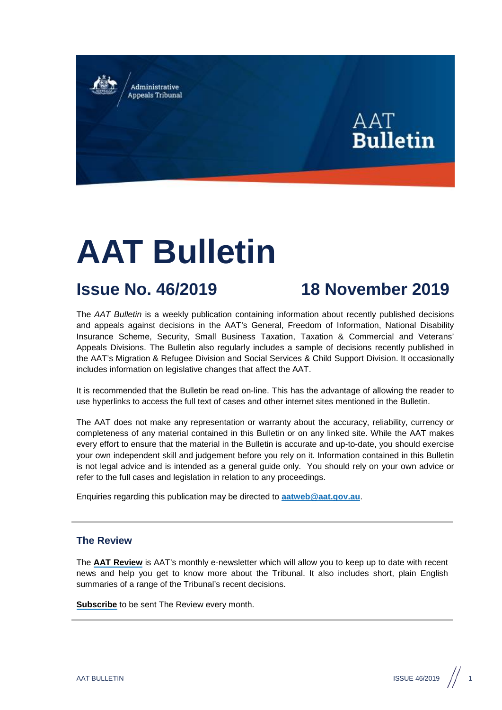Administrative **Appeals Tribunal** 



# **AAT Bulletin**

## **Issue No. 46/2019 18 November 2019**

The *AAT Bulletin* is a weekly publication containing information about recently published decisions and appeals against decisions in the AAT's General, Freedom of Information, National Disability Insurance Scheme, Security, Small Business Taxation, Taxation & Commercial and Veterans' Appeals Divisions. The Bulletin also regularly includes a sample of decisions recently published in the AAT's Migration & Refugee Division and Social Services & Child Support Division. It occasionally includes information on legislative changes that affect the AAT.

It is recommended that the Bulletin be read on-line. This has the advantage of allowing the reader to use hyperlinks to access the full text of cases and other internet sites mentioned in the Bulletin.

The AAT does not make any representation or warranty about the accuracy, reliability, currency or completeness of any material contained in this Bulletin or on any linked site. While the AAT makes every effort to ensure that the material in the Bulletin is accurate and up-to-date, you should exercise your own independent skill and judgement before you rely on it. Information contained in this Bulletin is not legal advice and is intended as a general guide only. You should rely on your own advice or refer to the full cases and legislation in relation to any proceedings.

Enquiries regarding this publication may be directed to **[aatweb@aat.gov.au](mailto:aatweb@aat.gov.au)**.

#### **The Review**

The **[AAT Review](http://www.aat.gov.au/the-review-archive)** is AAT's monthly e-newsletter which will allow you to keep up to date with recent news and help you get to know more about the Tribunal. It also includes short, plain English summaries of a range of the Tribunal's recent decisions.

**[Subscribe](http://www.aat.gov.au/resources/newsletters)** to be sent The Review every month.

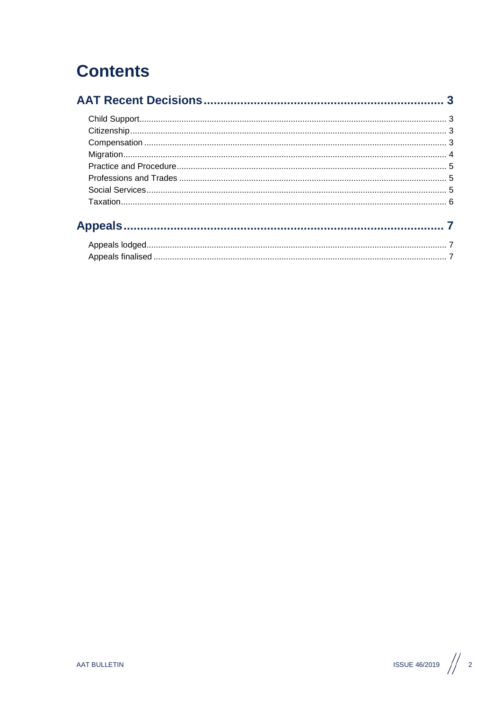## **Contents**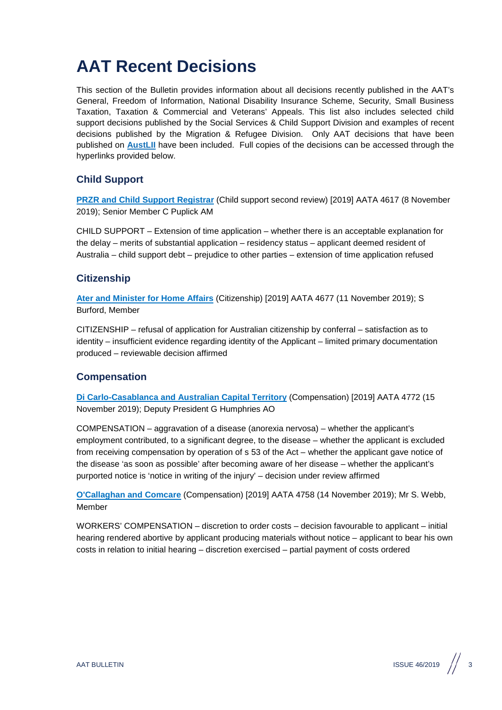## <span id="page-2-0"></span>**AAT Recent Decisions**

This section of the Bulletin provides information about all decisions recently published in the AAT's General, Freedom of Information, National Disability Insurance Scheme, Security, Small Business Taxation, Taxation & Commercial and Veterans' Appeals. This list also includes selected child support decisions published by the Social Services & Child Support Division and examples of recent decisions published by the Migration & Refugee Division. Only AAT decisions that have been published on **[AustLII](http://www.austlii.edu.au/au/cases/cth/aat/)** have been included. Full copies of the decisions can be accessed through the hyperlinks provided below.

### <span id="page-2-1"></span>**Child Support**

**[PRZR and Child Support Registrar](http://www.austlii.edu.au/cgi-bin/viewdoc/au/cases/cth/AATA/2019/4617.html?context=1;query=PRZR%20and%20Child%20Support%20Registrar%20;mask_path=au/cases/cth/AATA)** (Child support second review) [2019] AATA 4617 (8 November 2019); Senior Member C Puplick AM

CHILD SUPPORT – Extension of time application – whether there is an acceptable explanation for the delay – merits of substantial application – residency status – applicant deemed resident of Australia – child support debt – prejudice to other parties – extension of time application refused

#### <span id="page-2-2"></span>**Citizenship**

**[Ater and Minister for Home Affairs](http://www.austlii.edu.au/cgi-bin/viewdoc/au/cases/cth/AATA/2019/4677.html?context=1;query=Ater%20and%20Minister%20for%20Home%20Affairs%20;mask_path=au/cases/cth/AATA)** (Citizenship) [2019] AATA 4677 (11 November 2019); S Burford, Member

CITIZENSHIP – refusal of application for Australian citizenship by conferral – satisfaction as to identity – insufficient evidence regarding identity of the Applicant – limited primary documentation produced – reviewable decision affirmed

#### <span id="page-2-3"></span>**Compensation**

**[Di Carlo-Casablanca and Australian Capital Territory](http://www.austlii.edu.au/cgi-bin/sinosrch.cgi?mask_path=au%2Fcases%2Fcth%2FAATA&method=auto&query=Di+Carlo-Casablanca+and+Australian+Capital+Territory+)** (Compensation) [2019] AATA 4772 (15 November 2019); Deputy President G Humphries AO

COMPENSATION – aggravation of a disease (anorexia nervosa) – whether the applicant's employment contributed, to a significant degree, to the disease – whether the applicant is excluded from receiving compensation by operation of s 53 of the Act – whether the applicant gave notice of the disease 'as soon as possible' after becoming aware of her disease – whether the applicant's purported notice is 'notice in writing of the injury' – decision under review affirmed

**[O'Callaghan and Comcare](http://www.austlii.edu.au/cgi-bin/viewdoc/au/cases/cth/AATA/2019/4758.html?context=1;query=O)** (Compensation) [2019] AATA 4758 (14 November 2019); Mr S. Webb, Member

WORKERS' COMPENSATION – discretion to order costs – decision favourable to applicant – initial hearing rendered abortive by applicant producing materials without notice – applicant to bear his own costs in relation to initial hearing – discretion exercised – partial payment of costs ordered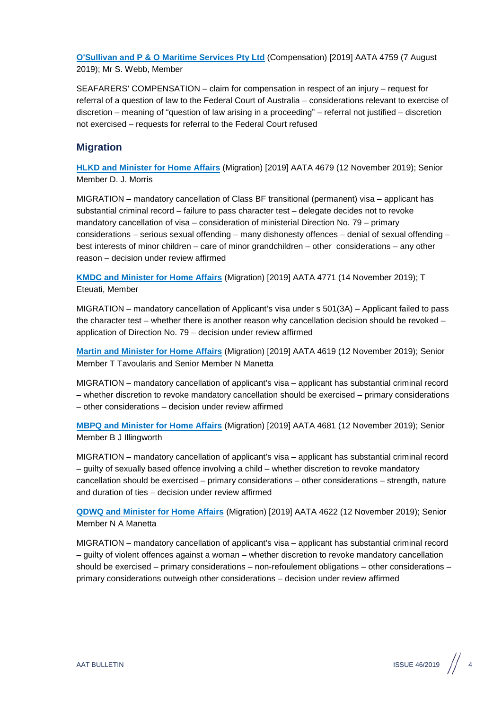**[O'Sullivan and P & O Maritime Services Pty Ltd](http://www.austlii.edu.au/cgi-bin/viewdoc/au/cases/cth/AATA/2019/4759.html?context=1;query=O)** (Compensation) [2019] AATA 4759 (7 August 2019); Mr S. Webb, Member

SEAFARERS' COMPENSATION – claim for compensation in respect of an injury – request for referral of a question of law to the Federal Court of Australia – considerations relevant to exercise of discretion – meaning of "question of law arising in a proceeding" – referral not justified – discretion not exercised – requests for referral to the Federal Court refused

#### <span id="page-3-0"></span>**Migration**

**[HLKD and Minister for Home Affairs](http://www.austlii.edu.au/cgi-bin/viewdoc/au/cases/cth/AATA/2019/4679.html?context=1;query=HLKD%20and%20Minister%20for%20Home%20Affairs%20;mask_path=au/cases/cth/AATA)** (Migration) [2019] AATA 4679 (12 November 2019); Senior Member D. J. Morris

MIGRATION – mandatory cancellation of Class BF transitional (permanent) visa – applicant has substantial criminal record – failure to pass character test – delegate decides not to revoke mandatory cancellation of visa – consideration of ministerial Direction No. 79 – primary considerations – serious sexual offending – many dishonesty offences – denial of sexual offending – best interests of minor children – care of minor grandchildren – other considerations – any other reason – decision under review affirmed

**[KMDC and Minister for Home Affairs](http://www.austlii.edu.au/cgi-bin/viewdoc/au/cases/cth/AATA/2019/4771.html?context=1;query=KMDC%20and%20Minister%20for%20Home%20Affairs%20;mask_path=au/cases/cth/AATA)** (Migration) [2019] AATA 4771 (14 November 2019); T Eteuati, Member

MIGRATION – mandatory cancellation of Applicant's visa under s 501(3A) – Applicant failed to pass the character test – whether there is another reason why cancellation decision should be revoked – application of Direction No. 79 – decision under review affirmed

**[Martin and Minister for Home Affairs](http://www.austlii.edu.au/cgi-bin/viewdoc/au/cases/cth/AATA/2019/4619.html?context=1;query=Martin%20and%20Minister%20for%20Home%20Affairs%20;mask_path=au/cases/cth/AATA)** (Migration) [2019] AATA 4619 (12 November 2019); Senior Member T Tavoularis and Senior Member N Manetta

MIGRATION – mandatory cancellation of applicant's visa – applicant has substantial criminal record – whether discretion to revoke mandatory cancellation should be exercised – primary considerations – other considerations – decision under review affirmed

**[MBPQ and Minister for Home Affairs](http://www.austlii.edu.au/cgi-bin/viewdoc/au/cases/cth/AATA/2019/4681.html?context=1;query=MBPQ%20and%20Minister%20for%20Home%20Affairs%20;mask_path=au/cases/cth/AATA)** (Migration) [2019] AATA 4681 (12 November 2019); Senior Member B J Illingworth

MIGRATION – mandatory cancellation of applicant's visa – applicant has substantial criminal record – guilty of sexually based offence involving a child – whether discretion to revoke mandatory cancellation should be exercised – primary considerations – other considerations – strength, nature and duration of ties – decision under review affirmed

**[QDWQ and Minister for Home Affairs](http://www.austlii.edu.au/cgi-bin/viewdoc/au/cases/cth/AATA/2019/4622.html?context=1;query=QDWQ%20and%20Minister%20for%20Home%20Affairs%20;mask_path=au/cases/cth/AATA)** (Migration) [2019] AATA 4622 (12 November 2019); Senior Member N A Manetta

MIGRATION – mandatory cancellation of applicant's visa – applicant has substantial criminal record – guilty of violent offences against a woman – whether discretion to revoke mandatory cancellation should be exercised – primary considerations – non-refoulement obligations – other considerations – primary considerations outweigh other considerations – decision under review affirmed



 $A$ AT BULLETIN  $\begin{array}{|c|c|c|c|}\hline \end{array}$  46/2019  $\begin{array}{|c|c|c|}\hline \end{array}$  4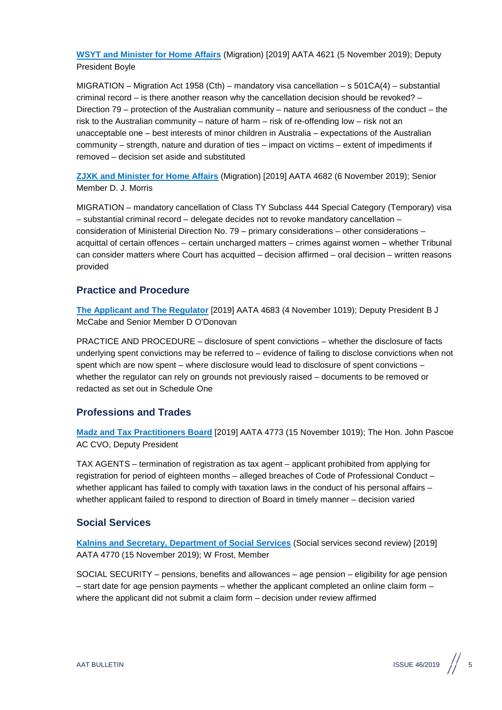**[WSYT and Minister for Home Affairs](http://www.austlii.edu.au/cgi-bin/viewdoc/au/cases/cth/AATA/2019/4621.html?context=1;query=WSYT%20and%20Minister%20for%20Home%20Affairs%20;mask_path=au/cases/cth/AATA)** (Migration) [2019] AATA 4621 (5 November 2019); Deputy President Boyle

MIGRATION – Migration Act 1958 (Cth) – mandatory visa cancellation – s 501CA(4) – substantial criminal record – is there another reason why the cancellation decision should be revoked? – Direction 79 – protection of the Australian community – nature and seriousness of the conduct – the risk to the Australian community – nature of harm – risk of re-offending low – risk not an unacceptable one – best interests of minor children in Australia – expectations of the Australian community – strength, nature and duration of ties – impact on victims – extent of impediments if removed – decision set aside and substituted

**[ZJXK and Minister for Home Affairs](http://www.austlii.edu.au/cgi-bin/viewdoc/au/cases/cth/AATA/2019/4682.html?context=1;query=ZJXK%20and%20Minister%20for%20Home%20Affairs%20;mask_path=au/cases/cth/AATA)** (Migration) [2019] AATA 4682 (6 November 2019); Senior Member D. J. Morris

MIGRATION – mandatory cancellation of Class TY Subclass 444 Special Category (Temporary) visa – substantial criminal record – delegate decides not to revoke mandatory cancellation – consideration of Ministerial Direction No. 79 – primary considerations – other considerations – acquittal of certain offences – certain uncharged matters – crimes against women – whether Tribunal can consider matters where Court has acquitted – decision affirmed – oral decision – written reasons provided

#### <span id="page-4-0"></span>**Practice and Procedure**

**[The Applicant and The Regulator](http://www.austlii.edu.au/cgi-bin/viewdoc/au/cases/cth/AATA/2019/4683.html?context=1;query=The%20Applicant%20and%20The%20Regulator%20;mask_path=au/cases/cth/AATA)** [2019] AATA 4683 (4 November 1019); Deputy President B J McCabe and Senior Member D O'Donovan

PRACTICE AND PROCEDURE – disclosure of spent convictions – whether the disclosure of facts underlying spent convictions may be referred to – evidence of failing to disclose convictions when not spent which are now spent – where disclosure would lead to disclosure of spent convictions – whether the regulator can rely on grounds not previously raised – documents to be removed or redacted as set out in Schedule One

#### <span id="page-4-1"></span>**Professions and Trades**

**[Madz and Tax Practitioners Board](http://www.austlii.edu.au/cgi-bin/viewdoc/au/cases/cth/AATA/2019/4773.html?context=1;query=Madz%20and%20Tax%20Practitioners%20Board%20;mask_path=au/cases/cth/AATA)** [2019] AATA 4773 (15 November 1019); The Hon. John Pascoe AC CVO, Deputy President

TAX AGENTS – termination of registration as tax agent – applicant prohibited from applying for registration for period of eighteen months – alleged breaches of Code of Professional Conduct – whether applicant has failed to comply with taxation laws in the conduct of his personal affairs – whether applicant failed to respond to direction of Board in timely manner – decision varied

#### <span id="page-4-2"></span>**Social Services**

**[Kalnins and Secretary, Department of Social Services](http://www.austlii.edu.au/cgi-bin/viewdoc/au/cases/cth/AATA/2019/4770.html?context=1;query=Kalnins%20and%20Secretary,%20Department%20of%20Social%20Services%20;mask_path=au/cases/cth/AATA)** (Social services second review) [2019] AATA 4770 (15 November 2019); W Frost, Member

SOCIAL SECURITY – pensions, benefits and allowances – age pension – eligibility for age pension – start date for age pension payments – whether the applicant completed an online claim form – where the applicant did not submit a claim form – decision under review affirmed

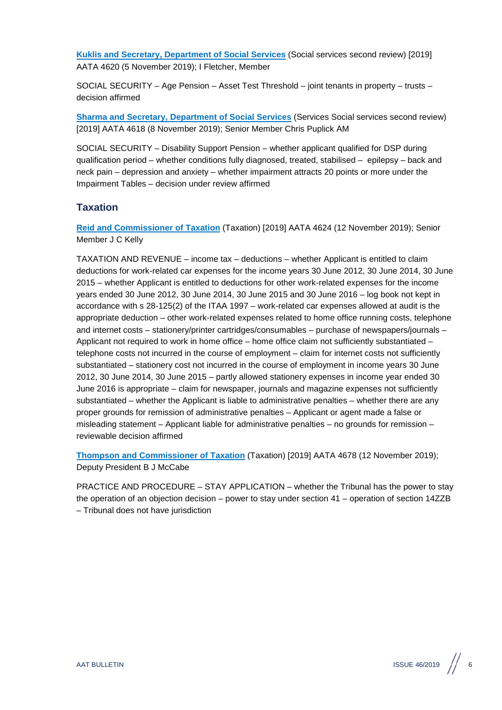**[Kuklis and Secretary, Department of Social Services](http://www.austlii.edu.au/cgi-bin/viewdoc/au/cases/cth/AATA/2019/4620.html?context=1;query=Kuklis%20and%20Secretary,%20Department%20of%20Social%20Services%20;mask_path=au/cases/cth/AATA)** (Social services second review) [2019] AATA 4620 (5 November 2019); I Fletcher, Member

SOCIAL SECURITY – Age Pension – Asset Test Threshold – joint tenants in property – trusts – decision affirmed

**[Sharma and Secretary, Department of Social Services](http://www.austlii.edu.au/cgi-bin/viewdoc/au/cases/cth/AATA/2019/4618.html?context=1;query=Sharma%20and%20Secretary,%20Department%20of%20Social%20Services%20;mask_path=au/cases/cth/AATA)** (Services Social services second review) [2019] AATA 4618 (8 November 2019); Senior Member Chris Puplick AM

SOCIAL SECURITY – Disability Support Pension – whether applicant qualified for DSP during qualification period – whether conditions fully diagnosed, treated, stabilised – epilepsy – back and neck pain – depression and anxiety – whether impairment attracts 20 points or more under the Impairment Tables – decision under review affirmed

#### <span id="page-5-0"></span>**Taxation**

**[Reid and Commissioner of Taxation](http://www.austlii.edu.au/cgi-bin/viewdoc/au/cases/cth/AATA/2019/4624.html?context=1;query=Reid%20and%20Commissioner%20of%20Taxation%20;mask_path=au/cases/cth/AATA)** (Taxation) [2019] AATA 4624 (12 November 2019); Senior Member J C Kelly

TAXATION AND REVENUE – income tax – deductions – whether Applicant is entitled to claim deductions for work-related car expenses for the income years 30 June 2012, 30 June 2014, 30 June 2015 – whether Applicant is entitled to deductions for other work-related expenses for the income years ended 30 June 2012, 30 June 2014, 30 June 2015 and 30 June 2016 – log book not kept in accordance with s 28-125(2) of the ITAA 1997 – work-related car expenses allowed at audit is the appropriate deduction – other work-related expenses related to home office running costs, telephone and internet costs – stationery/printer cartridges/consumables – purchase of newspapers/journals – Applicant not required to work in home office – home office claim not sufficiently substantiated – telephone costs not incurred in the course of employment – claim for internet costs not sufficiently substantiated – stationery cost not incurred in the course of employment in income years 30 June 2012, 30 June 2014, 30 June 2015 – partly allowed stationery expenses in income year ended 30 June 2016 is appropriate – claim for newspaper, journals and magazine expenses not sufficiently substantiated – whether the Applicant is liable to administrative penalties – whether there are any proper grounds for remission of administrative penalties – Applicant or agent made a false or misleading statement – Applicant liable for administrative penalties – no grounds for remission – reviewable decision affirmed

**[Thompson and Commissioner of Taxation](http://www.austlii.edu.au/cgi-bin/viewdoc/au/cases/cth/AATA/2019/4678.html?context=1;query=Thompson%20and%20Commissioner%20of%20Taxation%20;mask_path=au/cases/cth/AATA)** (Taxation) [2019] AATA 4678 (12 November 2019); Deputy President B J McCabe

PRACTICE AND PROCEDURE – STAY APPLICATION – whether the Tribunal has the power to stay the operation of an objection decision – power to stay under section 41 – operation of section 14ZZB – Tribunal does not have jurisdiction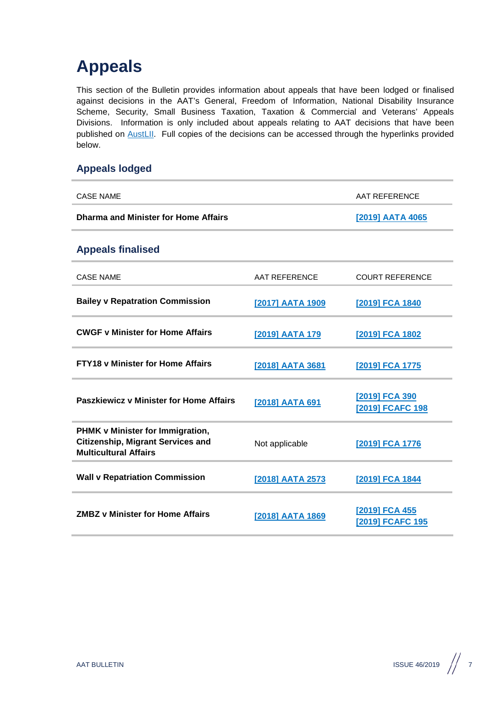## <span id="page-6-0"></span>**Appeals**

This section of the Bulletin provides information about appeals that have been lodged or finalised against decisions in the AAT's General, Freedom of Information, National Disability Insurance Scheme, Security, Small Business Taxation, Taxation & Commercial and Veterans' Appeals Divisions. Information is only included about appeals relating to AAT decisions that have been published on [AustLII.](http://www.austlii.edu.au/au/cases/cth/aat/) Full copies of the decisions can be accessed through the hyperlinks provided below.

### <span id="page-6-1"></span>**Appeals lodged**

<span id="page-6-2"></span>

| <b>CASE NAME</b>                                                                                             |                  | <b>AAT REFERENCE</b>               |
|--------------------------------------------------------------------------------------------------------------|------------------|------------------------------------|
| <b>Dharma and Minister for Home Affairs</b>                                                                  |                  | [2019] AATA 4065                   |
| <b>Appeals finalised</b>                                                                                     |                  |                                    |
| <b>CASE NAME</b>                                                                                             | AAT REFERENCE    | <b>COURT REFERENCE</b>             |
| <b>Bailey v Repatration Commission</b>                                                                       | [2017] AATA 1909 | [2019] FCA 1840                    |
| <b>CWGF v Minister for Home Affairs</b>                                                                      | [2019] AATA 179  | [2019] FCA 1802                    |
| <b>FTY18 v Minister for Home Affairs</b>                                                                     | [2018] AATA 3681 | [2019] FCA 1775                    |
| <b>Paszkiewicz v Minister for Home Affairs</b>                                                               | [2018] AATA 691  | [2019] FCA 390<br>[2019] FCAFC 198 |
| PHMK v Minister for Immigration,<br><b>Citizenship, Migrant Services and</b><br><b>Multicultural Affairs</b> | Not applicable   | [2019] FCA 1776                    |
| <b>Wall v Repatriation Commission</b>                                                                        | [2018] AATA 2573 | [2019] FCA 1844                    |
| <b>ZMBZ v Minister for Home Affairs</b>                                                                      | [2018] AATA 1869 | [2019] FCA 455<br>[2019] FCAFC 195 |